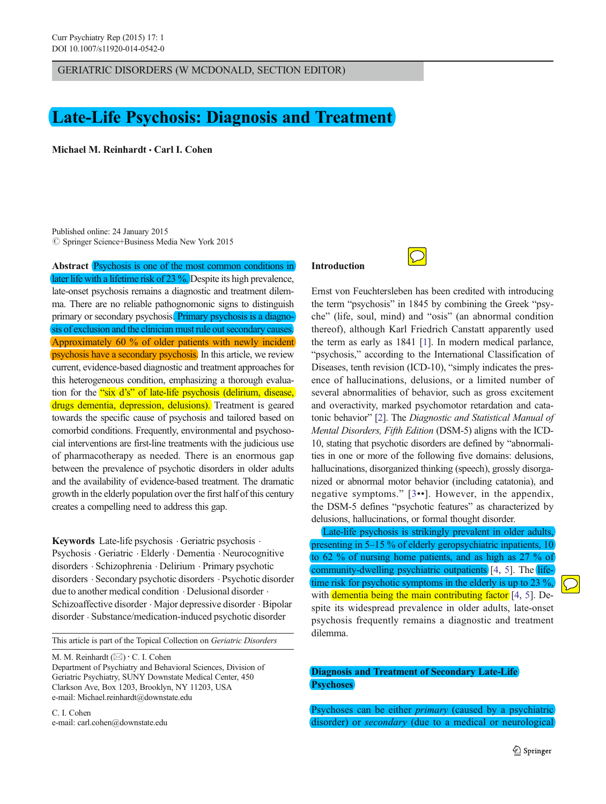GERIATRIC DISORDERS (W MCDONALD, SECTION EDITOR)

# Late-Life Psychosis: Diagnosis and Treatment

Michael M. Reinhardt · Carl I. Cohen

Published online: 24 January 2015 © Springer Science+Business Media New York 2015

Abstract Psychosis is one of the most common conditions in later life with a lifetime risk of 23 %. Despite its high prevalence, late-onset psychosis remains a diagnostic and treatment dilemma. There are no reliable pathognomonic signs to distinguish primary or secondary psychosis. Primary psychosis is a diagnosis of exclusion and the clinician must rule out secondary causes. Approximately 60 % of older patients with newly incident psychosis have a secondary psychosis. In this article, we review current, evidence-based diagnostic and treatment approaches for this heterogeneous condition, emphasizing a thorough evaluation for the "six d's" of late-life psychosis (delirium, disease, drugs dementia, depression, delusions). Treatment is geared towards the specific cause of psychosis and tailored based on comorbid conditions. Frequently, environmental and psychosocial interventions are first-line treatments with the judicious use of pharmacotherapy as needed. There is an enormous gap between the prevalence of psychotic disorders in older adults and the availability of evidence-based treatment. The dramatic growth in the elderly population over the first half of this century creates a compelling need to address this gap.

Keywords Late-life psychosis . Geriatric psychosis . Psychosis . Geriatric . Elderly . Dementia . Neurocognitive disorders . Schizophrenia . Delirium . Primary psychotic disorders . Secondary psychotic disorders . Psychotic disorder due to another medical condition . Delusional disorder . Schizoaffective disorder . Major depressive disorder . Bipolar disorder . Substance/medication-induced psychotic disorder

This article is part of the Topical Collection on Geriatric Disorders

M. M. Reinhardt  $(\boxtimes) \cdot C$ . I. Cohen

Department of Psychiatry and Behavioral Sciences, Division of Geriatric Psychiatry, SUNY Downstate Medical Center, 450 Clarkson Ave, Box 1203, Brooklyn, NY 11203, USA e-mail: Michael.reinhardt@downstate.edu

C. I. Cohen e-mail: carl.cohen@downstate.edu

# Introduction



Ernst von Feuchtersleben has been credited with introducing the term "psychosis" in 1845 by combining the Greek "psyche" (life, soul, mind) and "osis" (an abnormal condition thereof), although Karl Friedrich Canstatt apparently used the term as early as 1841 [[1\]](#page-8-0). In modern medical parlance, "psychosis," according to the International Classification of Diseases, tenth revision (ICD-10), "simply indicates the presence of hallucinations, delusions, or a limited number of several abnormalities of behavior, such as gross excitement and overactivity, marked psychomotor retardation and catatonic behavior" [[2](#page-8-0)]. The Diagnostic and Statistical Manual of Mental Disorders, Fifth Edition (DSM-5) aligns with the ICD-10, stating that psychotic disorders are defined by "abnormalities in one or more of the following five domains: delusions, hallucinations, disorganized thinking (speech), grossly disorganized or abnormal motor behavior (including catatonia), and negative symptoms." [[3](#page-8-0)••]. However, in the appendix, the DSM-5 defines "psychotic features" as characterized by delusions, hallucinations, or formal thought disorder.

Late-life psychosis is strikingly prevalent in older adults, presenting in 5–15 % of elderly geropsychiatric inpatients, 10 to 62 % of nursing home patients, and as high as 27 % of community-dwelling psychiatric outpatients [\[4](#page-9-0), [5\]](#page-9-0). The lifetime risk for psychotic symptoms in the elderly is up to 23 %, with dementia being the main contributing factor [[4,](#page-9-0) [5](#page-9-0)]. Despite its widespread prevalence in older adults, late-onset psychosis frequently remains a diagnostic and treatment dilemma.

# Diagnosis and Treatment of Secondary Late-Life **Psychoses**

Psychoses can be either *primary* (caused by a psychiatric disorder) or *secondary* (due to a medical or neurological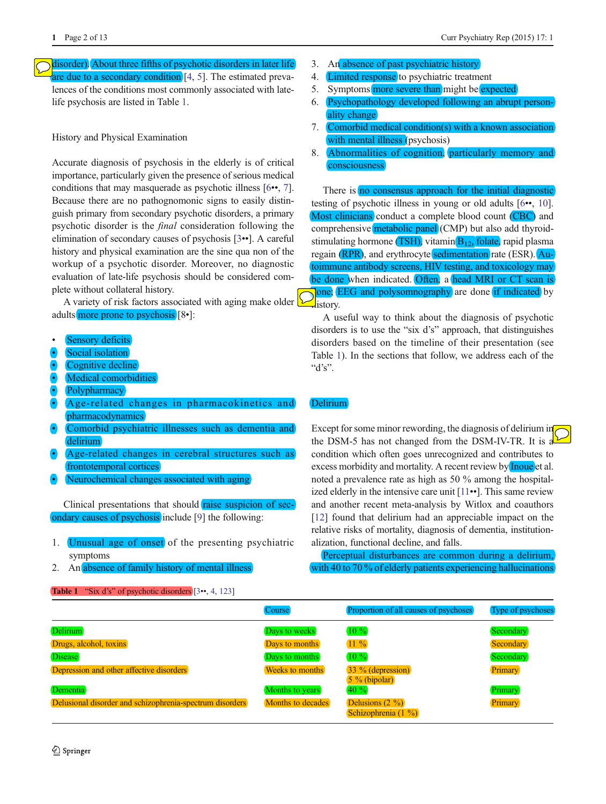<span id="page-1-0"></span>disorder). About three fifths of psychotic disorders in later life are due to a secondary condition  $[4, 5]$  $[4, 5]$  $[4, 5]$  $[4, 5]$ . The estimated prevalences of the conditions most commonly associated with latelife psychosis are listed in Table 1.

History and Physical Examination

Accurate diagnosis of psychosis in the elderly is of critical importance, particularly given the presence of serious medical conditions that may masquerade as psychotic illness [[6](#page-9-0)••, [7\]](#page-9-0). Because there are no pathognomonic signs to easily distinguish primary from secondary psychotic disorders, a primary psychotic disorder is the final consideration following the elimination of secondary causes of psychosis [[3](#page-8-0)••]. A careful history and physical examination are the sine qua non of the workup of a psychotic disorder. Moreover, no diagnostic evaluation of late-life psychosis should be considered complete without collateral history.

A variety of risk factors associated with aging make older adults more prone to psychosis [8•]:

- Sensory deficits
- Social isolation
- Cognitive decline
- Medical comorbidities
- Polypharmacy
- & Age-related changes in pharmacokinetics and pharmacodynamics
- Comorbid psychiatric illnesses such as dementia and delirium
- & Age-related changes in cerebral structures such as frontotemporal cortices
- Neurochemical changes associated with aging

Clinical presentations that should raise suspicion of secondary causes of psychosis include [[9\]](#page-9-0) the following:

- 1. Unusual age of onset of the presenting psychiatric symptoms
- 2. An absence of family history of mental illness

```
[34123]
```
- 3. An absence of past psychiatric history
- 4. Limited response to psychiatric treatment
- 5. Symptoms more severe than might be expected
- 6. Psychopathology developed following an abrupt personality change
- 7. Comorbid medical condition(s) with a known association with mental illness (psychosis)
- 8. Abnormalities of cognition, particularly memory and consciousness

There is no consensus approach for the initial diagnostic testing of psychotic illness in young or old adults [\[6](#page-9-0)••, [10\]](#page-9-0). Most clinicians conduct a complete blood count (CBC) and comprehensive metabolic panel (CMP) but also add thyroidstimulating hormone (TSH), vitamin  $B_{12}$ , folate, rapid plasma regain (RPR), and erythrocyte sedimentation rate (ESR). Autoimmune antibody screens, HIV testing, and toxicology may be done when indicated. Often, a head MRI or CT scan is one; EEG and polysomnography are done if indicated by **H**istory.

A useful way to think about the diagnosis of psychotic disorders is to use the "six d's" approach, that distinguishes disorders based on the timeline of their presentation (see Table 1). In the sections that follow, we address each of the " $d's$ ".

## Delirium

Except for some minor rewording, the diagnosis of delirium in the DSM-5 has not changed from the DSM-IV-TR. It is a condition which often goes unrecognized and contributes to excess morbidity and mortality. A recent review by **Inque** et al. noted a prevalence rate as high as 50 % among the hospitalized elderly in the intensive care unit [[11](#page-9-0)••]. This same review and another recent meta-analysis by Witlox and coauthors [\[12](#page-9-0)] found that delirium had an appreciable impact on the relative risks of mortality, diagnosis of dementia, institutionalization, functional decline, and falls.

Perceptual disturbances are common during a delirium, with 40 to 70 % of elderly patients experiencing hallucinations

|                                                          | <b>Course</b>     | Proportion of all causes of psychoses     | Type of psychoses |
|----------------------------------------------------------|-------------------|-------------------------------------------|-------------------|
| <b>Delirium</b>                                          | Days to weeks     | $10\%$                                    | Secondary         |
| Drugs, alcohol, toxins                                   | Days to months    | 11 %                                      | Secondary         |
| <b>Disease</b>                                           | Days to months    | $10\%$                                    | Secondary         |
| Depression and other affective disorders                 | Weeks to months   | 33 % (depression)<br>$5\%$ (bipolar)      | Primary           |
| Dementia                                                 | Months to years   | 40 %                                      | Primary           |
| Delusional disorder and schizophrenia-spectrum disorders | Months to decades | Delusions $(2 \%)$<br>Schizophrenia (1 %) | Primary           |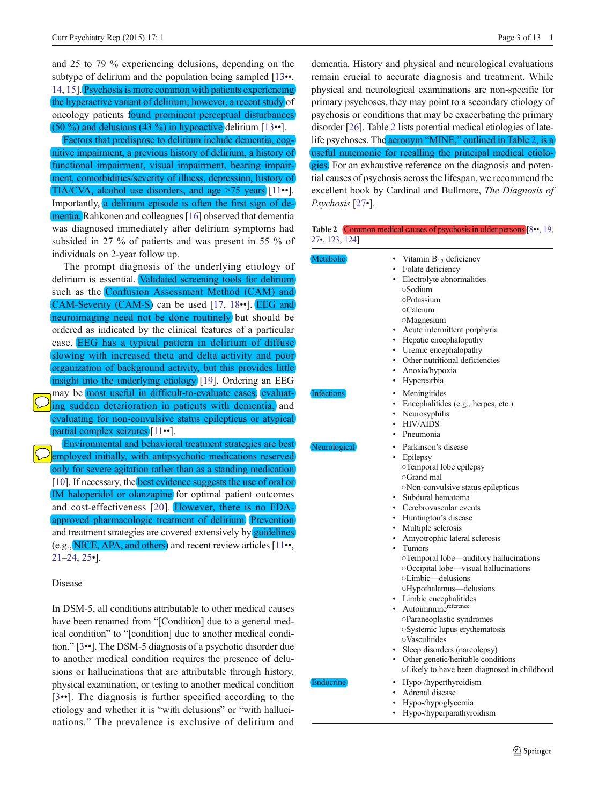<span id="page-2-0"></span>and 25 to 79 % experiencing delusions, depending on the subtype of delirium and the population being sampled [\[13](#page-9-0)••, [14,](#page-9-0) [15\]](#page-9-0). Psychosis is more common with patients experiencing the hyperactive variant of delirium; however, a recent study of oncology patients found prominent perceptual disturbances (50 %) and delusions (43 %) in hypoactive delirium  $[13\bullet]$  $[13\bullet]$  $[13\bullet]$ .

Factors that predispose to delirium include dementia, cognitive impairment, a previous history of delirium, a history of functional impairment, visual impairment, hearing impairment, comorbidities/severity of illness, depression, history of TIA/CVA, alcohol use disorders, and age >75 years [\[11](#page-9-0)••]. Importantly, a delirium episode is often the first sign of dementia. Rahkonen and colleagues [\[16](#page-9-0)] observed that dementia was diagnosed immediately after delirium symptoms had subsided in 27 % of patients and was present in 55 % of individuals on 2-year follow up.

The prompt diagnosis of the underlying etiology of delirium is essential. Validated screening tools for delirium such as the Confusion Assessment Method (CAM) and CAM-Severity (CAM-S) can be used [[17,](#page-9-0) [18](#page-9-0)••]. EEG and neuroimaging need not be done routinely but should be ordered as indicated by the clinical features of a particular case. EEG has a typical pattern in delirium of diffuse slowing with increased theta and delta activity and poor organization of background activity, but this provides little insight into the underlying etiology [[19](#page-9-0)]. Ordering an EEG may be most useful in difficult-to-evaluate cases, evaluating sudden deterioration in patients with dementia, and evaluating for non-convulsive status epilepticus or atypical partial complex seizures [\[11](#page-9-0)••]. Environmental and behavioral treatment strategies are best employed initially, with antipsychotic medications reserved only for severe agitation rather than as a standing medication [\[10\]](#page-9-0). If necessary, the **best evidence suggests the use of oral or** IM haloperidol or olanzapine for optimal patient outcomes and cost-effectiveness [[20\]](#page-9-0). However, there is no FDAapproved pharmacologic treatment of delirium. Prevention and treatment strategies are covered extensively by guidelines (e.g., NICE, APA, and others) and recent review articles [\[11](#page-9-0)••, [21](#page-9-0)–[24](#page-9-0), [25](#page-9-0)•].

#### Disease

In DSM-5, all conditions attributable to other medical causes have been renamed from "[Condition] due to a general medical condition" to "[condition] due to another medical condition." [\[3](#page-8-0)••]. The DSM-5 diagnosis of a psychotic disorder due to another medical condition requires the presence of delusions or hallucinations that are attributable through history, physical examination, or testing to another medical condition [\[3](#page-8-0)••]. The diagnosis is further specified according to the etiology and whether it is "with delusions" or "with hallucinations." The prevalence is exclusive of delirium and dementia. History and physical and neurological evaluations remain crucial to accurate diagnosis and treatment. While physical and neurological examinations are non-specific for primary psychoses, they may point to a secondary etiology of psychosis or conditions that may be exacerbating the primary disorder [\[26\]](#page-9-0). Table 2 lists potential medical etiologies of latelife psychoses. The acronym "MINE," outlined in Table 2, is a useful mnemonic for recalling the principal medical etiologies. For an exhaustive reference on the diagnosis and potential causes of psychosis across the lifespan, we recommend the excellent book by Cardinal and Bullmore, The Diagnosis of Psychosis [\[27](#page-9-0)•].

Table 2 Common medical causes of psychosis in older persons [\[8](#page-9-0)••, [19](#page-9-0), [27](#page-9-0)•, [123,](#page-12-0) [124\]](#page-12-0)

| Metabolic         | • Vitamin $B_{12}$ deficiency<br>• Folate deficiency<br>• Electrolyte abnormalities<br>○Sodium<br><b>Potassium</b><br>○Calcium<br><b>Magnesium</b><br>Acute intermittent porphyria<br>$\bullet$<br>• Hepatic encephalopathy<br>• Uremic encephalopathy<br>Other nutritional deficiencies<br>$\bullet$<br>Anoxia/hypoxia<br>$\bullet$<br>Hypercarbia<br>$\bullet$                                                                                                                                                               |
|-------------------|--------------------------------------------------------------------------------------------------------------------------------------------------------------------------------------------------------------------------------------------------------------------------------------------------------------------------------------------------------------------------------------------------------------------------------------------------------------------------------------------------------------------------------|
| <b>Infections</b> | Meningitides<br>$\bullet$<br>Encephalitides (e.g., herpes, etc.)<br>$\bullet$<br>Neurosyphilis<br>$\bullet$<br><b>HIV/AIDS</b><br>$\bullet$                                                                                                                                                                                                                                                                                                                                                                                    |
|                   | Pneumonia<br>$\bullet$                                                                                                                                                                                                                                                                                                                                                                                                                                                                                                         |
| Neurological      | • Parkinson's disease<br>Epilepsy<br>$\bullet$<br><b>Temporal</b> lobe epilepsy<br>○Grand mal<br>oNon-convulsive status epilepticus<br>Subdural hematoma<br>۰<br>Cerebrovascular events<br>$\bullet$<br>• Huntington's disease<br>• Multiple sclerosis<br>Amyotrophic lateral sclerosis<br>$\bullet$<br>Tumors<br>$\bullet$<br>○Temporal lobe-auditory hallucinations<br>oOccipital lobe—visual hallucinations<br>oLimbic-delusions<br>OHypothalamus-delusions<br>• Limbic encephalitides<br>• Autoimmune <sup>reference</sup> |
| <b>Endocrine</b>  | oParaneoplastic syndromes<br>oSystemic lupus erythematosis<br><b>Vasculitides</b><br>· Sleep disorders (narcolepsy)<br>Other genetic/heritable conditions<br>$\bullet$<br>oLikely to have been diagnosed in childhood<br>Hypo-/hyperthyroidism<br>$\bullet$<br>Adrenal disease<br>$\bullet$<br>Hypo-/hypoglycemia<br>$\bullet$<br>Hypo-/hyperparathyroidism<br>$\bullet$                                                                                                                                                       |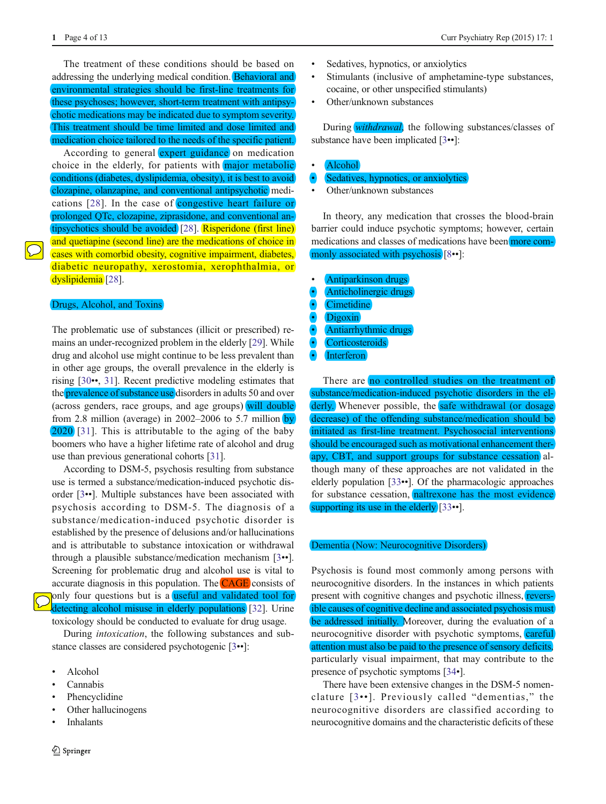The treatment of these conditions should be based on addressing the underlying medical condition. Behavioral and environmental strategies should be first-line treatments for these psychoses; however, short-term treatment with antipsychotic medications may be indicated due to symptom severity. This treatment should be time limited and dose limited and medication choice tailored to the needs of the specific patient.

According to general expert guidance on medication choice in the elderly, for patients with major metabolic conditions (diabetes, dyslipidemia, obesity), it is best to avoid clozapine, olanzapine, and conventional antipsychotic medications [[28](#page-9-0)]. In the case of congestive heart failure or prolonged QTc, clozapine, ziprasidone, and conventional antipsychotics should be avoided [\[28](#page-9-0)]. Risperidone (first line) and quetiapine (second line) are the medications of choice in cases with comorbid obesity, cognitive impairment, diabetes, diabetic neuropathy, xerostomia, xerophthalmia, or dyslipidemia<sup>[[28\]](#page-9-0)</sup>.

# Drugs, Alcohol, and Toxins

The problematic use of substances (illicit or prescribed) remains an under-recognized problem in the elderly [[29\]](#page-9-0). While drug and alcohol use might continue to be less prevalent than in other age groups, the overall prevalence in the elderly is rising [[30](#page-9-0)••, [31](#page-9-0)]. Recent predictive modeling estimates that the **prevalence of substance use** disorders in adults 50 and over (across genders, race groups, and age groups) will double from 2.8 million (average) in 2002–2006 to 5.7 million by 2020 [\[31\]](#page-9-0). This is attributable to the aging of the baby boomers who have a higher lifetime rate of alcohol and drug use than previous generational cohorts [\[31](#page-9-0)].

According to DSM-5, psychosis resulting from substance use is termed a substance/medication-induced psychotic disorder [[3](#page-8-0)••]. Multiple substances have been associated with psychosis according to DSM-5. The diagnosis of a substance/medication-induced psychotic disorder is established by the presence of delusions and/or hallucinations and is attributable to substance intoxication or withdrawal through a plausible substance/medication mechanism [[3](#page-8-0)••]. Screening for problematic drug and alcohol use is vital to accurate diagnosis in this population. The **CAGE** consists of only four questions but is a useful and validated tool for detecting alcohol misuse in elderly populations [[32\]](#page-9-0). Urine

toxicology should be conducted to evaluate for drug usage.

During intoxication, the following substances and substance classes are considered psychotogenic [[3](#page-8-0)••]:

- & Alcohol
- **Cannabis**
- Phencyclidine
- Other hallucinogens
- **Inhalants**
- & Sedatives, hypnotics, or anxiolytics
- & Stimulants (inclusive of amphetamine-type substances, cocaine, or other unspecified stimulants)
- Other/unknown substances

During *withdrawal*, the following substances/classes of substance have been implicated [[3](#page-8-0)••]:

- & Alcohol
- Sedatives, hypnotics, or anxiolytics
- Other/unknown substances

In theory, any medication that crosses the blood-brain barrier could induce psychotic symptoms; however, certain medications and classes of medications have been more commonly associated with psychosis [\[8](#page-9-0)••]:

- & Antiparkinson drugs
- & Anticholinergic drugs
- Cimetidine
- Digoxin
- Antiarrhythmic drugs
- **Corticosteroids**
- Interferon

There are no controlled studies on the treatment of substance/medication-induced psychotic disorders in the elderly. Whenever possible, the safe withdrawal (or dosage decrease) of the offending substance/medication should be initiated as first-line treatment. Psychosocial interventions should be encouraged such as motivational enhancement therapy, CBT, and support groups for substance cessation although many of these approaches are not validated in the elderly population [[33](#page-9-0)••]. Of the pharmacologic approaches for substance cessation, naltrexone has the most evidence supporting its use in the elderly [[33](#page-9-0)••].

## Dementia (Now: Neurocognitive Disorders)

Psychosis is found most commonly among persons with neurocognitive disorders. In the instances in which patients present with cognitive changes and psychotic illness, reversible causes of cognitive decline and associated psychosis must be addressed initially. Moreover, during the evaluation of a neurocognitive disorder with psychotic symptoms, careful attention must also be paid to the presence of sensory deficits, particularly visual impairment, that may contribute to the presence of psychotic symptoms [[34](#page-9-0)•].

There have been extensive changes in the DSM-5 nomenclature [[3](#page-8-0)• •]. Previously called "dementias," the neurocognitive disorders are classified according to neurocognitive domains and the characteristic deficits of these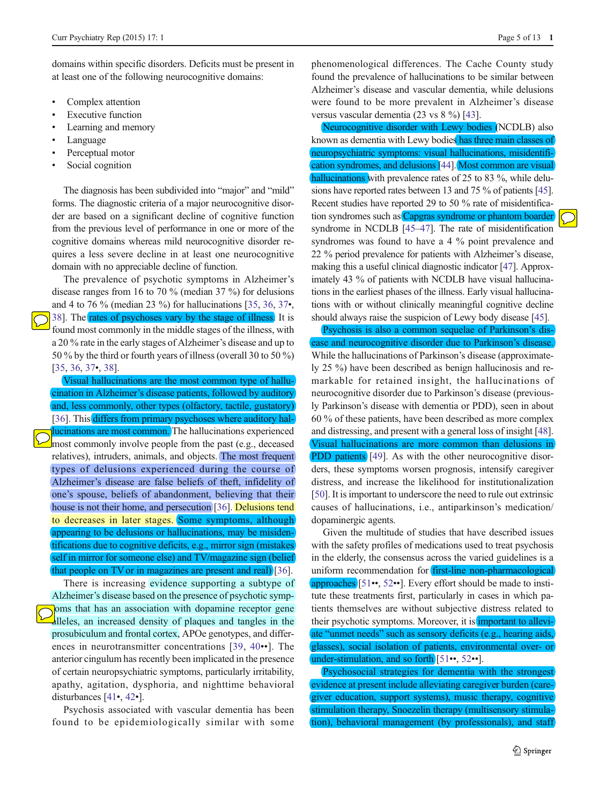domains within specific disorders. Deficits must be present in at least one of the following neurocognitive domains:

- Complex attention
- **Executive function**
- Learning and memory
- Language
- Perceptual motor
- Social cognition

The diagnosis has been subdivided into "major" and "mild" forms. The diagnostic criteria of a major neurocognitive disorder are based on a significant decline of cognitive function from the previous level of performance in one or more of the cognitive domains whereas mild neurocognitive disorder requires a less severe decline in at least one neurocognitive domain with no appreciable decline of function.

The prevalence of psychotic symptoms in Alzheimer's disease ranges from 16 to 70 % (median 37 %) for delusions and 4 to 76 % (median 23 %) for hallucinations [[35](#page-9-0), [36](#page-9-0), [37](#page-9-0)•, [38\]](#page-10-0). The rates of psychoses vary by the stage of illness. It is found most commonly in the middle stages of the illness, with a 20 % rate in the early stages of Alzheimer's disease and up to 50 % by the third or fourth years of illness (overall 30 to 50 %) [\[35,](#page-9-0) [36,](#page-9-0) [37](#page-9-0)•, [38\]](#page-10-0).

Visual hallucinations are the most common type of hallucination in Alzheimer's disease patients, followed by auditory and, less commonly, other types (olfactory, tactile, gustatory) [\[36\]](#page-9-0). This differs from primary psychoses where auditory hallucinations are most common. The hallucinations experienced most commonly involve people from the past (e.g., deceased relatives), intruders, animals, and objects. The most frequent types of delusions experienced during the course of Alzheimer's disease are false beliefs of theft, infidelity of one's spouse, beliefs of abandonment, believing that their house is not their home, and persecution [\[36](#page-9-0)]. Delusions tend to decreases in later stages. Some symptoms, although appearing to be delusions or hallucinations, may be misidentifications due to cognitive deficits, e.g., mirror sign (mistakes

self in mirror for someone else) and TV/magazine sign (belief that people on TV or in magazines are present and real) [[36](#page-9-0)].

There is increasing evidence supporting a subtype of Alzheimer's disease based on the presence of psychotic symp- $\sqrt{\theta}$  oms that has an association with dopamine receptor gene alleles, an increased density of plaques and tangles in the prosubiculum and frontal cortex, APOe genotypes, and differences in neurotransmitter concentrations [[39](#page-10-0), [40](#page-10-0)••]. The anterior cingulum has recently been implicated in the presence of certain neuropsychiatric symptoms, particularly irritability, apathy, agitation, dysphoria, and nighttime behavioral disturbances [\[41](#page-10-0)•, [42](#page-10-0)•].

Psychosis associated with vascular dementia has been found to be epidemiologically similar with some phenomenological differences. The Cache County study found the prevalence of hallucinations to be similar between Alzheimer's disease and vascular dementia, while delusions were found to be more prevalent in Alzheimer's disease versus vascular dementia (23 vs 8 %) [[43\]](#page-10-0).

Neurocognitive disorder with Lewy bodies (NCDLB) also known as dementia with Lewy bodies has three main classes of neuropsychiatric symptoms: visual hallucinations, misidentification syndromes, and delusions [[44](#page-10-0)]. Most common are visual hallucinations with prevalence rates of 25 to 83 %, while delusions have reported rates between 13 and 75 % of patients [\[45\]](#page-10-0). Recent studies have reported 29 to 50 % rate of misidentification syndromes such as Capgras syndrome or phantom boarder syndrome in NCDLB [[45](#page-10-0)–[47\]](#page-10-0). The rate of misidentification syndromes was found to have a 4 % point prevalence and 22 % period prevalence for patients with Alzheimer's disease, making this a useful clinical diagnostic indicator [[47](#page-10-0)]. Approximately 43 % of patients with NCDLB have visual hallucinations in the earliest phases of the illness. Early visual hallucinations with or without clinically meaningful cognitive decline should always raise the suspicion of Lewy body disease [\[45](#page-10-0)].

Psychosis is also a common sequelae of Parkinson's disease and neurocognitive disorder due to Parkinson's disease. While the hallucinations of Parkinson's disease (approximately 25 %) have been described as benign hallucinosis and remarkable for retained insight, the hallucinations of neurocognitive disorder due to Parkinson's disease (previously Parkinson's disease with dementia or PDD), seen in about 60 % of these patients, have been described as more complex and distressing, and present with a general loss of insight [[48\]](#page-10-0). Visual hallucinations are more common than delusions in **PDD patients** [\[49](#page-10-0)]. As with the other neurocognitive disorders, these symptoms worsen prognosis, intensify caregiver distress, and increase the likelihood for institutionalization [\[50](#page-10-0)]. It is important to underscore the need to rule out extrinsic causes of hallucinations, i.e., antiparkinson's medication/ dopaminergic agents.

Given the multitude of studies that have described issues with the safety profiles of medications used to treat psychosis in the elderly, the consensus across the varied guidelines is a uniform recommendation for **first-line non-pharmacological** approaches [\[51](#page-10-0)••, [52](#page-10-0)••]. Every effort should be made to institute these treatments first, particularly in cases in which patients themselves are without subjective distress related to their psychotic symptoms. Moreover, it is *important* to alleviate "unmet needs" such as sensory deficits (e.g., hearing aids, glasses), social isolation of patients, environmental over- or under-stimulation, and so forth [\[51](#page-10-0)••, [52](#page-10-0)••].

Psychosocial strategies for dementia with the strongest evidence at present include alleviating caregiver burden (caregiver education, support systems), music therapy, cognitive stimulation therapy, Snoezelin therapy (multisensory stimulation), behavioral management (by professionals), and staff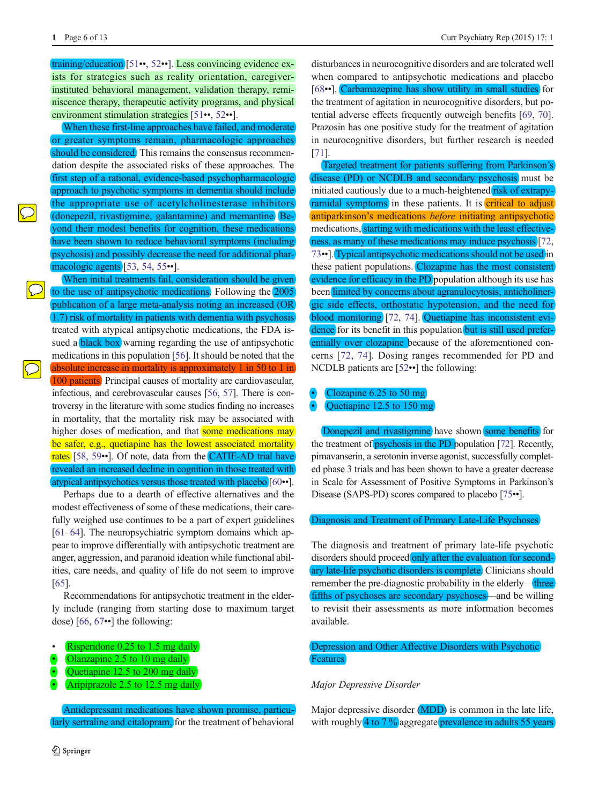training/education [\[51](#page-10-0)••, [52](#page-10-0)••]. Less convincing evidence exists for strategies such as reality orientation, caregiverinstituted behavioral management, validation therapy, reminiscence therapy, therapeutic activity programs, and physical environment stimulation strategies [[51](#page-10-0)••, [52](#page-10-0)••].

When these first-line approaches have failed, and moderate or greater symptoms remain, pharmacologic approaches should be considered. This remains the consensus recommendation despite the associated risks of these approaches. The first step of a rational, evidence-based psychopharmacologic approach to psychotic symptoms in dementia should include the appropriate use of acetylcholinesterase inhibitors (donepezil, rivastigmine, galantamine) and memantine. Beyond their modest benefits for cognition, these medications have been shown to reduce behavioral symptoms (including psychosis) and possibly decrease the need for additional phar-macologic agents [\[53](#page-10-0), [54](#page-10-0), [55](#page-10-0)••].

When initial treatments fail, consideration should be given to the use of antipsychotic medications. Following the 2005 publication of a large meta-analysis noting an increased (OR 1.7) risk of mortality in patients with dementia with psychosis treated with atypical antipsychotic medications, the FDA issued a **black box** warning regarding the use of antipsychotic medications in this population [\[56](#page-10-0)]. It should be noted that the absolute increase in mortality is approximately 1 in 50 to 1 in 100 patients. Principal causes of mortality are cardiovascular, infectious, and cerebrovascular causes [\[56,](#page-10-0) [57\]](#page-10-0). There is controversy in the literature with some studies finding no increases in mortality, that the mortality risk may be associated with higher doses of medication, and that some medications may be safer, e.g., quetiapine has the lowest associated mortality rates [\[58](#page-10-0), [59](#page-10-0)••]. Of note, data from the CATIE-AD trial have revealed an increased decline in cognition in those treated with atypical antipsychotics versus those treated with placebo [[60](#page-10-0)••].

Perhaps due to a dearth of effective alternatives and the modest effectiveness of some of these medications, their carefully weighed use continues to be a part of expert guidelines [\[61](#page-10-0)–[64\]](#page-10-0). The neuropsychiatric symptom domains which appear to improve differentially with antipsychotic treatment are anger, aggression, and paranoid ideation while functional abilities, care needs, and quality of life do not seem to improve [\[65\]](#page-10-0).

Recommendations for antipsychotic treatment in the elderly include (ranging from starting dose to maximum target dose) [[66,](#page-11-0) [67](#page-11-0)••] the following:

- Risperidone 0.25 to 1.5 mg daily
- Olanzapine 2.5 to 10 mg daily
- Quetiapine 12.5 to 200 mg daily
- Aripiprazole 2.5 to 12.5 mg daily

Antidepressant medications have shown promise, particularly sertraline and citalopram, for the treatment of behavioral

disturbances in neurocognitive disorders and are tolerated well when compared to antipsychotic medications and placebo [\[68](#page-11-0)••]. Carbamazepine has show utility in small studies for the treatment of agitation in neurocognitive disorders, but potential adverse effects frequently outweigh benefits [\[69](#page-11-0), [70\]](#page-11-0). Prazosin has one positive study for the treatment of agitation in neurocognitive disorders, but further research is needed [\[71](#page-11-0)].

Targeted treatment for patients suffering from Parkinson's disease (PD) or NCDLB and secondary psychosis must be initiated cautiously due to a much-heightened risk of extrapyramidal symptoms in these patients. It is critical to adjust antiparkinson's medications before initiating antipsychotic medications, starting with medications with the least effectiveness, as many of these medications may induce psychosis [\[72,](#page-11-0) [73](#page-11-0)••]. Typical antipsychotic medications should not be used in these patient populations. Clozapine has the most consistent evidence for efficacy in the PD population although its use has been limited by concerns about agranulocytosis, anticholinergic side effects, orthostatic hypotension, and the need for blood monitoring [[72,](#page-11-0) [74\]](#page-11-0). Quetiapine has inconsistent evidence for its benefit in this population but is still used preferentially over clozapine because of the aforementioned concerns [[72](#page-11-0), [74\]](#page-11-0). Dosing ranges recommended for PD and NCDLB patients are [\[52](#page-10-0)••] the following:

# Clozapine  $6.25$  to  $50$  mg

## Quetiapine 12.5 to 150 mg

Donepezil and rivastigmine have shown some benefits for the treatment of *psychosis* in the PD population [\[72](#page-11-0)]. Recently, pimavanserin, a serotonin inverse agonist, successfully completed phase 3 trials and has been shown to have a greater decrease in Scale for Assessment of Positive Symptoms in Parkinson's Disease (SAPS-PD) scores compared to placebo [\[75](#page-11-0)••].

#### Diagnosis and Treatment of Primary Late-Life Psychoses

The diagnosis and treatment of primary late-life psychotic disorders should proceed only after the evaluation for secondary late-life psychotic disorders is complete. Clinicians should remember the pre-diagnostic probability in the elderly—three fifths of psychoses are secondary psychoses—and be willing to revisit their assessments as more information becomes available.

## Depression and Other Affective Disorders with Psychotic **Features**

#### Major Depressive Disorder

Major depressive disorder (MDD) is common in the late life, with roughly  $\frac{4 \text{ to } 7 \frac{9}{9}}{$  aggregate prevalence in adults 55 years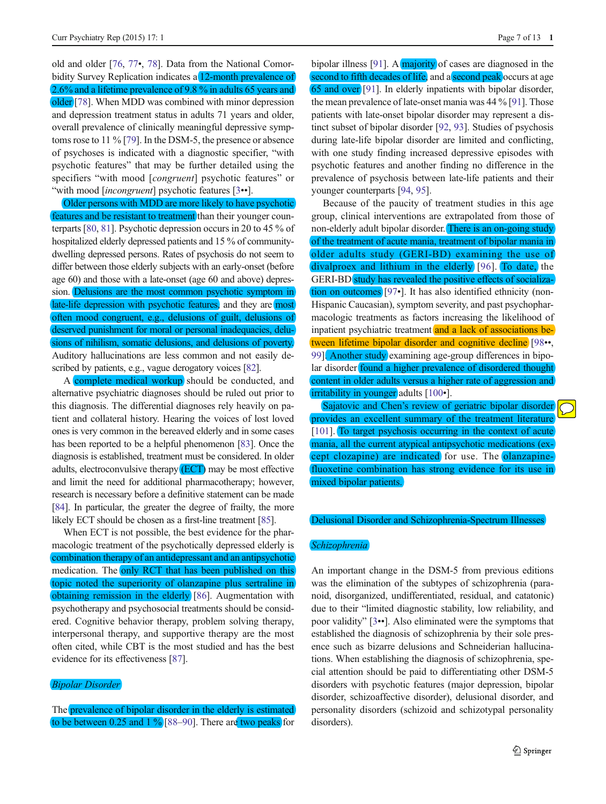old and older [\[76](#page-11-0), [77](#page-11-0)•, [78\]](#page-11-0). Data from the National Comorbidity Survey Replication indicates a 12-month prevalence of 2.6% and a lifetime prevalence of 9.8 % in adults 65 years and older [\[78](#page-11-0)]. When MDD was combined with minor depression and depression treatment status in adults 71 years and older, overall prevalence of clinically meaningful depressive symptoms rose to 11 % [\[79\]](#page-11-0). In the DSM-5, the presence or absence of psychoses is indicated with a diagnostic specifier, "with psychotic features" that may be further detailed using the specifiers "with mood [*congruent*] psychotic features" or "with mood [incongruent] psychotic features [[3](#page-8-0)••].

Older persons with MDD are more likely to have psychotic features and be resistant to treatment than their younger counterparts [\[80,](#page-11-0) [81](#page-11-0)]. Psychotic depression occurs in 20 to 45 % of hospitalized elderly depressed patients and 15 % of communitydwelling depressed persons. Rates of psychosis do not seem to differ between those elderly subjects with an early-onset (before age 60) and those with a late-onset (age 60 and above) depression. Delusions are the most common psychotic symptom in late-life depression with psychotic features, and they are most often mood congruent, e.g., delusions of guilt, delusions of deserved punishment for moral or personal inadequacies, delusions of nihilism, somatic delusions, and delusions of poverty. Auditory hallucinations are less common and not easily described by patients, e.g., vague derogatory voices [\[82\]](#page-11-0).

A complete medical workup should be conducted, and alternative psychiatric diagnoses should be ruled out prior to this diagnosis. The differential diagnoses rely heavily on patient and collateral history. Hearing the voices of lost loved ones is very common in the bereaved elderly and in some cases has been reported to be a helpful phenomenon [\[83\]](#page-11-0). Once the diagnosis is established, treatment must be considered. In older adults, electroconvulsive therapy (ECT) may be most effective and limit the need for additional pharmacotherapy; however, research is necessary before a definitive statement can be made [\[84\]](#page-11-0). In particular, the greater the degree of frailty, the more likely ECT should be chosen as a first-line treatment [[85](#page-11-0)].

When ECT is not possible, the best evidence for the pharmacologic treatment of the psychotically depressed elderly is combination therapy of an antidepressant and an antipsychotic medication. The only RCT that has been published on this topic noted the superiority of olanzapine plus sertraline in obtaining remission in the elderly [\[86](#page-11-0)]. Augmentation with psychotherapy and psychosocial treatments should be considered. Cognitive behavior therapy, problem solving therapy, interpersonal therapy, and supportive therapy are the most often cited, while CBT is the most studied and has the best evidence for its effectiveness [\[87](#page-11-0)].

### Bipolar Disorder

The prevalence of bipolar disorder in the elderly is estimated to be between 0.25 and 1 % [[88](#page-11-0)–[90](#page-11-0)]. There are two peaks for

bipolar illness [\[91\]](#page-11-0). A majority of cases are diagnosed in the second to fifth decades of life, and a second peak occurs at age 65 and over [[91\]](#page-11-0). In elderly inpatients with bipolar disorder, the mean prevalence of late-onset mania was 44 % [\[91\]](#page-11-0). Those patients with late-onset bipolar disorder may represent a distinct subset of bipolar disorder [\[92](#page-11-0), [93](#page-11-0)]. Studies of psychosis during late-life bipolar disorder are limited and conflicting, with one study finding increased depressive episodes with psychotic features and another finding no difference in the prevalence of psychosis between late-life patients and their younger counterparts [\[94,](#page-11-0) [95\]](#page-11-0).

Because of the paucity of treatment studies in this age group, clinical interventions are extrapolated from those of non-elderly adult bipolar disorder. There is an on-going study of the treatment of acute mania, treatment of bipolar mania in older adults study (GERI-BD) examining the use of divalproex and lithium in the elderly [\[96\]](#page-11-0). To date, the GERI-BD study has revealed the positive effects of socialization on outcomes [[97](#page-11-0)•]. It has also identified ethnicity (non-Hispanic Caucasian), symptom severity, and past psychopharmacologic treatments as factors increasing the likelihood of inpatient psychiatric treatment and a lack of associations between lifetime bipolar disorder and cognitive decline [\[98](#page-11-0)••, [99\]](#page-12-0). Another study examining age-group differences in bipolar disorder found a higher prevalence of disordered thought content in older adults versus a higher rate of aggression and irritability in younger adults [[100](#page-12-0)•].

Sajatovic and Chen's review of geriatric bipolar disorder provides an excellent summary of the treatment literature [\[101\]](#page-12-0). To target psychosis occurring in the context of acute mania, all the current atypical antipsychotic medications (except clozapine) are indicated for use. The olanzapinefluoxetine combination has strong evidence for its use in mixed bipolar patients.

#### Delusional Disorder and Schizophrenia-Spectrum Illnesses

#### **Schizophrenia**

An important change in the DSM-5 from previous editions was the elimination of the subtypes of schizophrenia (paranoid, disorganized, undifferentiated, residual, and catatonic) due to their "limited diagnostic stability, low reliability, and poor validity" [\[3](#page-8-0)••]. Also eliminated were the symptoms that established the diagnosis of schizophrenia by their sole presence such as bizarre delusions and Schneiderian hallucinations. When establishing the diagnosis of schizophrenia, special attention should be paid to differentiating other DSM-5 disorders with psychotic features (major depression, bipolar disorder, schizoaffective disorder), delusional disorder, and personality disorders (schizoid and schizotypal personality disorders).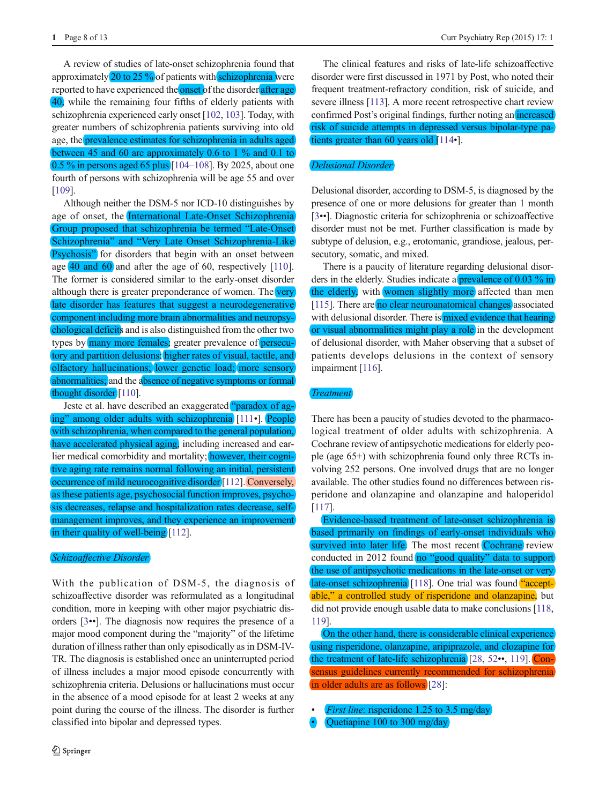A review of studies of late-onset schizophrenia found that approximately  $20$  to  $25\%$  of patients with schizophrenia were reported to have experienced the **onset** of the disorder after age 40, while the remaining four fifths of elderly patients with schizophrenia experienced early onset [\[102,](#page-12-0) [103](#page-12-0)]. Today, with greater numbers of schizophrenia patients surviving into old age, the prevalence estimates for schizophrenia in adults aged between 45 and 60 are approximately 0.6 to 1 % and 0.1 to 0.5 % in persons aged 65 plus [\[104](#page-12-0)–[108\]](#page-12-0). By 2025, about one fourth of persons with schizophrenia will be age 55 and over [\[109\]](#page-12-0).

Although neither the DSM-5 nor ICD-10 distinguishes by age of onset, the International Late-Onset Schizophrenia Group proposed that schizophrenia be termed "Late-Onset Schizophrenia" and "Very Late Onset Schizophrenia-Like **Psychosis**" for disorders that begin with an onset between age 40 and 60 and after the age of 60, respectively [[110](#page-12-0)]. The former is considered similar to the early-onset disorder although there is greater preponderance of women. The very late disorder has features that suggest a neurodegenerative component including more brain abnormalities and neuropsychological deficits and is also distinguished from the other two types by many more females; greater prevalence of persecutory and partition delusions; higher rates of visual, tactile, and olfactory hallucinations; lower genetic load; more sensory abnormalities; and the absence of negative symptoms or formal thought disorder [\[110](#page-12-0)].

Jeste et al. have described an exaggerated "paradox of aging" among older adults with schizophrenia [\[111](#page-12-0)•]. People with schizophrenia, when compared to the general population, have accelerated physical aging, including increased and earlier medical comorbidity and mortality; however, their cognitive aging rate remains normal following an initial, persistent occurrence of mild neurocognitive disorder [\[112\]](#page-12-0). Conversely, as these patients age, psychosocial function improves, psychosis decreases, relapse and hospitalization rates decrease, selfmanagement improves, and they experience an improvement in their quality of well-being [[112\]](#page-12-0).

### Schizoaffective Disorder

With the publication of DSM-5, the diagnosis of schizoaffective disorder was reformulated as a longitudinal condition, more in keeping with other major psychiatric disorders [\[3](#page-8-0)••]. The diagnosis now requires the presence of a major mood component during the "majority" of the lifetime duration of illness rather than only episodically as in DSM-IV-TR. The diagnosis is established once an uninterrupted period of illness includes a major mood episode concurrently with schizophrenia criteria. Delusions or hallucinations must occur in the absence of a mood episode for at least 2 weeks at any point during the course of the illness. The disorder is further classified into bipolar and depressed types.

The clinical features and risks of late-life schizoaffective disorder were first discussed in 1971 by Post, who noted their frequent treatment-refractory condition, risk of suicide, and severe illness [\[113\]](#page-12-0). A more recent retrospective chart review confirmed Post's original findings, further noting an increased risk of suicide attempts in depressed versus bipolar-type pa-tients greater than 60 years old [[114](#page-12-0)•].

#### Delusional Disorder

Delusional disorder, according to DSM-5, is diagnosed by the presence of one or more delusions for greater than 1 month [\[3](#page-8-0)••]. Diagnostic criteria for schizophrenia or schizoaffective disorder must not be met. Further classification is made by subtype of delusion, e.g., erotomanic, grandiose, jealous, persecutory, somatic, and mixed.

There is a paucity of literature regarding delusional disorders in the elderly. Studies indicate a **prevalence** of 0.03 % in the elderly, with women slightly more affected than men [\[115\]](#page-12-0). There are no clear neuroanatomical changes associated with delusional disorder. There is mixed evidence that hearing or visual abnormalities might play a role in the development of delusional disorder, with Maher observing that a subset of patients develops delusions in the context of sensory impairment [\[116\]](#page-12-0).

#### **Treatment**

There has been a paucity of studies devoted to the pharmacological treatment of older adults with schizophrenia. A Cochrane review of antipsychotic medications for elderly people (age 65+) with schizophrenia found only three RCTs involving 252 persons. One involved drugs that are no longer available. The other studies found no differences between risperidone and olanzapine and olanzapine and haloperidol [\[117\]](#page-12-0).

Evidence-based treatment of late-onset schizophrenia is based primarily on findings of early-onset individuals who survived into later life. The most recent Cochrane review conducted in 2012 found no "good quality" data to support the use of antipsychotic medications in the late-onset or very late-onset schizophrenia [[118](#page-12-0)]. One trial was found "acceptable," a controlled study of risperidone and olanzapine, but did not provide enough usable data to make conclusions [\[118,](#page-12-0) [119](#page-12-0)].

On the other hand, there is considerable clinical experience using risperidone, olanzapine, aripiprazole, and clozapine for the treatment of late-life schizophrenia [\[28](#page-9-0), [52](#page-10-0)••, [119\]](#page-12-0). Consensus guidelines currently recommended for schizophrenia in older adults are as follows [\[28](#page-9-0)]:

- First line: risperidone 1.25 to 3.5 mg/day
- $\bullet$  Quetiapine 100 to 300 mg/day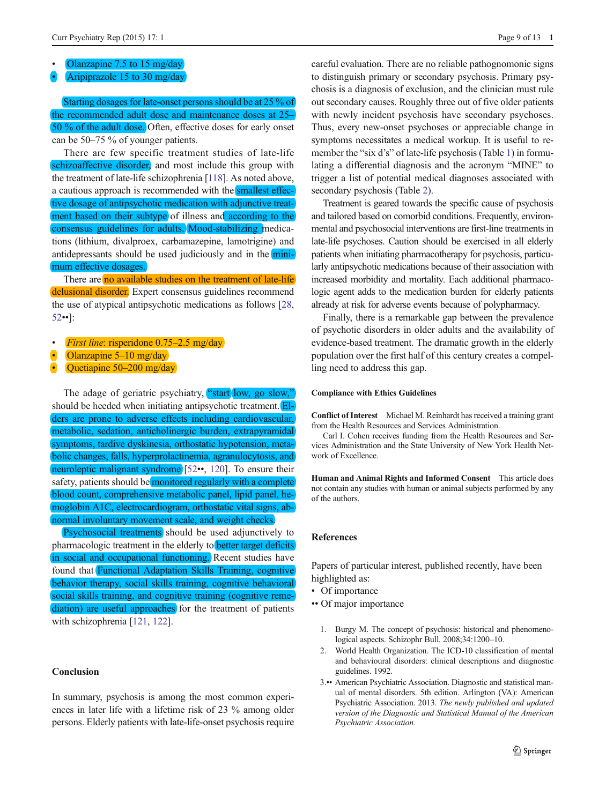- <span id="page-8-0"></span>Olanzapine 7.5 to 15 mg/day
- & Aripiprazole 15 to 30 mg/day

Starting dosages for late-onset persons should be at 25 % of the recommended adult dose and maintenance doses at 25– 50 % of the adult dose. Often, effective doses for early onset can be 50–75 % of younger patients.

There are few specific treatment studies of late-life schizoaffective disorder, and most include this group with the treatment of late-life schizophrenia [\[118\]](#page-12-0). As noted above, a cautious approach is recommended with the smallest effective dosage of antipsychotic medication with adjunctive treatment based on their subtype of illness and according to the consensus guidelines for adults. Mood-stabilizing medications (lithium, divalproex, carbamazepine, lamotrigine) and antidepressants should be used judiciously and in the minimum effective dosages.

There are no available studies on the treatment of late-life delusional disorder. Expert consensus guidelines recommend the use of atypical antipsychotic medications as follows [[28,](#page-9-0) [52](#page-10-0)••]:

- First line: risperidone 0.75–2.5 mg/day
- Olanzapine 5–10 mg/day
- Quetiapine 50–200 mg/day

The adage of geriatric psychiatry, "start low, go slow," should be heeded when initiating antipsychotic treatment. Elders are prone to adverse effects including cardiovascular, metabolic, sedation, anticholinergic burden, extrapyramidal symptoms, tardive dyskinesia, orthostatic hypotension, metabolic changes, falls, hyperprolactinemia, agranulocytosis, and neuroleptic malignant syndrome [\[52](#page-10-0)••, [120\]](#page-12-0). To ensure their safety, patients should be monitored regularly with a complete blood count, comprehensive metabolic panel, lipid panel, hemoglobin A1C, electrocardiogram, orthostatic vital signs, abnormal involuntary movement scale, and weight checks.

Psychosocial treatments should be used adjunctively to pharmacologic treatment in the elderly to better target deficits in social and occupational functioning. Recent studies have found that Functional Adaptation Skills Training, cognitive behavior therapy, social skills training, cognitive behavioral social skills training, and cognitive training (cognitive remediation) are useful approaches for the treatment of patients with schizophrenia [\[121,](#page-12-0) [122\]](#page-12-0).

### **Conclusion**

In summary, psychosis is among the most common experiences in later life with a lifetime risk of 23 % among older persons. Elderly patients with late-life-onset psychosis require careful evaluation. There are no reliable pathognomonic signs to distinguish primary or secondary psychosis. Primary psychosis is a diagnosis of exclusion, and the clinician must rule out secondary causes. Roughly three out of five older patients with newly incident psychosis have secondary psychoses. Thus, every new-onset psychoses or appreciable change in symptoms necessitates a medical workup. It is useful to remember the "six d's" of late-life psychosis (Table [1](#page-1-0)) in formulating a differential diagnosis and the acronym "MINE" to trigger a list of potential medical diagnoses associated with secondary psychosis (Table [2](#page-2-0)).

Treatment is geared towards the specific cause of psychosis and tailored based on comorbid conditions. Frequently, environmental and psychosocial interventions are first-line treatments in late-life psychoses. Caution should be exercised in all elderly patients when initiating pharmacotherapy for psychosis, particularly antipsychotic medications because of their association with increased morbidity and mortality. Each additional pharmacologic agent adds to the medication burden for elderly patients already at risk for adverse events because of polypharmacy.

Finally, there is a remarkable gap between the prevalence of psychotic disorders in older adults and the availability of evidence-based treatment. The dramatic growth in the elderly population over the first half of this century creates a compelling need to address this gap.

#### Compliance with Ethics Guidelines

Conflict of Interest Michael M. Reinhardt has received a training grant from the Health Resources and Services Administration.

Carl I. Cohen receives funding from the Health Resources and Services Administration and the State University of New York Health Network of Excellence.

Human and Animal Rights and Informed Consent This article does not contain any studies with human or animal subjects performed by any of the authors.

## References

Papers of particular interest, published recently, have been highlighted as:

- Of importance
- •• Of major importance
	- 1. Burgy M. The concept of psychosis: historical and phenomenological aspects. Schizophr Bull. 2008;34:1200–10.
	- 2. World Health Organization. The ICD-10 classification of mental and behavioural disorders: clinical descriptions and diagnostic guidelines. 1992.
	- 3.•• American Psychiatric Association. Diagnostic and statistical manual of mental disorders. 5th edition. Arlington (VA): American Psychiatric Association. 2013. The newly published and updated version of the Diagnostic and Statistical Manual of the American Psychiatric Association.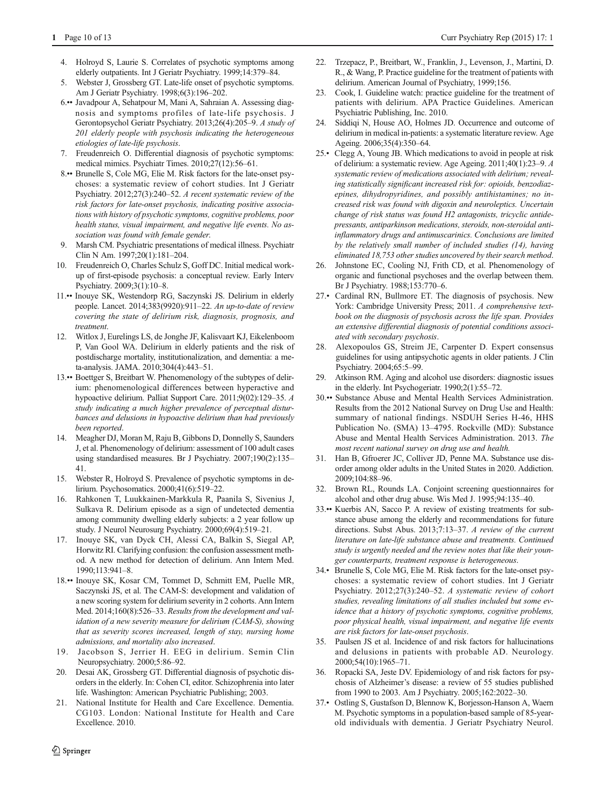- <span id="page-9-0"></span>4. Holroyd S, Laurie S. Correlates of psychotic symptoms among elderly outpatients. Int J Geriatr Psychiatry. 1999;14:379–84.
- 5. Webster J, Grossberg GT. Late-life onset of psychotic symptoms. Am J Geriatr Psychiatry. 1998;6(3):196–202.
- 6.•• Javadpour A, Sehatpour M, Mani A, Sahraian A. Assessing diagnosis and symptoms profiles of late-life psychosis. J Gerontopsychol Geriatr Psychiatry. 2013;26(4):205–9. A study of 201 elderly people with psychosis indicating the heterogeneous etiologies of late-life psychosis.
- 7. Freudenreich O. Differential diagnosis of psychotic symptoms: medical mimics. Psychiatr Times. 2010;27(12):56–61.
- 8.•• Brunelle S, Cole MG, Elie M. Risk factors for the late-onset psychoses: a systematic review of cohort studies. Int J Geriatr Psychiatry. 2012;27(3):240–52. A recent systematic review of the risk factors for late-onset psychosis, indicating positive associations with history of psychotic symptoms, cognitive problems, poor health status, visual impairment, and negative life events. No association was found with female gender.
- 9. Marsh CM. Psychiatric presentations of medical illness. Psychiatr Clin N Am. 1997;20(1):181–204.
- 10. Freudenreich O, Charles Schulz S, Goff DC. Initial medical workup of first-episode psychosis: a conceptual review. Early Interv Psychiatry. 2009;3(1):10–8.
- 11.•• Inouye SK, Westendorp RG, Saczynski JS. Delirium in elderly people. Lancet. 2014;383(9920):911–22. An up-to-date of review covering the state of delirium risk, diagnosis, prognosis, and treatment.
- 12. Witlox J, Eurelings LS, de Jonghe JF, Kalisvaart KJ, Eikelenboom P, Van Gool WA. Delirium in elderly patients and the risk of postdischarge mortality, institutionalization, and dementia: a meta-analysis. JAMA. 2010;304(4):443–51.
- 13.•• Boettger S, Breitbart W. Phenomenology of the subtypes of delirium: phenomenological differences between hyperactive and hypoactive delirium. Palliat Support Care. 2011;9(02):129–35. A study indicating a much higher prevalence of perceptual disturbances and delusions in hypoactive delirium than had previously been reported.
- 14. Meagher DJ, Moran M, Raju B, Gibbons D, Donnelly S, Saunders J, et al. Phenomenology of delirium: assessment of 100 adult cases using standardised measures. Br J Psychiatry. 2007;190(2):135– 41.
- 15. Webster R, Holroyd S. Prevalence of psychotic symptoms in delirium. Psychosomatics. 2000;41(6):519–22.
- 16. Rahkonen T, Luukkainen-Markkula R, Paanila S, Sivenius J, Sulkava R. Delirium episode as a sign of undetected dementia among community dwelling elderly subjects: a 2 year follow up study. J Neurol Neurosurg Psychiatry. 2000;69(4):519–21.
- 17. Inouye SK, van Dyck CH, Alessi CA, Balkin S, Siegal AP, Horwitz RI. Clarifying confusion: the confusion assessment method. A new method for detection of delirium. Ann Intern Med. 1990;113:941–8.
- 18.•• Inouye SK, Kosar CM, Tommet D, Schmitt EM, Puelle MR, Saczynski JS, et al. The CAM-S: development and validation of a new scoring system for delirium severity in 2 cohorts. Ann Intern Med. 2014;160(8):526–33. Results from the development and validation of a new severity measure for delirium (CAM-S), showing that as severity scores increased, length of stay, nursing home admissions, and mortality also increased.
- 19. Jacobson S, Jerrier H. EEG in delirium. Semin Clin Neuropsychiatry. 2000;5:86–92.
- 20. Desai AK, Grossberg GT. Differential diagnosis of psychotic disorders in the elderly. In: Cohen CI, editor. Schizophrenia into later life. Washington: American Psychiatric Publishing; 2003.
- 21. National Institute for Health and Care Excellence. Dementia. CG103. London: National Institute for Health and Care Excellence. 2010.
- 22. Trzepacz, P., Breitbart, W., Franklin, J., Levenson, J., Martini, D. R., & Wang, P. Practice guideline for the treatment of patients with delirium. American Journal of Psychiatry, 1999;156.
- 23. Cook, I. Guideline watch: practice guideline for the treatment of patients with delirium. APA Practice Guidelines. American Psychiatric Publishing, Inc. 2010.
- 24. Siddiqi N, House AO, Holmes JD. Occurrence and outcome of delirium in medical in-patients: a systematic literature review. Age Ageing. 2006;35(4):350–64.
- 25.• Clegg A, Young JB. Which medications to avoid in people at risk of delirium: a systematic review. Age Ageing. 2011;40(1):23–9. A systematic review of medications associated with delirium; revealing statistically significant increased risk for: opioids, benzodiazepines, dihydropyridines, and possibly antihistamines; no increased risk was found with digoxin and neuroleptics. Uncertain change of risk status was found H2 antagonists, tricyclic antidepressants, antiparkinson medications, steroids, non-steroidal antiinflammatory drugs and antimuscarinics. Conclusions are limited by the relatively small number of included studies (14), having eliminated 18,753 other studies uncovered by their search method.
- 26. Johnstone EC, Cooling NJ, Frith CD, et al. Phenomenology of organic and functional psychoses and the overlap between them. Br J Psychiatry. 1988;153:770–6.
- 27.• Cardinal RN, Bullmore ET. The diagnosis of psychosis. New York: Cambridge University Press; 2011. A comprehensive textbook on the diagnosis of psychosis across the life span. Provides an extensive differential diagnosis of potential conditions associated with secondary psychosis.
- 28. Alexopoulos GS, Streim JE, Carpenter D. Expert consensus guidelines for using antipsychotic agents in older patients. J Clin Psychiatry. 2004;65:5–99.
- 29. Atkinson RM. Aging and alcohol use disorders: diagnostic issues in the elderly. Int Psychogeriatr. 1990;2(1):55–72.
- 30.•• Substance Abuse and Mental Health Services Administration. Results from the 2012 National Survey on Drug Use and Health: summary of national findings. NSDUH Series H-46, HHS Publication No. (SMA) 13–4795. Rockville (MD): Substance Abuse and Mental Health Services Administration. 2013. The most recent national survey on drug use and health.
- 31. Han B, Gfroerer JC, Colliver JD, Penne MA. Substance use disorder among older adults in the United States in 2020. Addiction. 2009;104:88–96.
- 32. Brown RL, Rounds LA. Conjoint screening questionnaires for alcohol and other drug abuse. Wis Med J. 1995;94:135–40.
- 33.•• Kuerbis AN, Sacco P. A review of existing treatments for substance abuse among the elderly and recommendations for future directions. Subst Abus. 2013;7:13–37. A review of the current literature on late-life substance abuse and treatments. Continued study is urgently needed and the review notes that like their younger counterparts, treatment response is heterogeneous.
- 34.• Brunelle S, Cole MG, Elie M. Risk factors for the late-onset psychoses: a systematic review of cohort studies. Int J Geriatr Psychiatry. 2012;27(3):240–52. A systematic review of cohort studies, revealing limitations of all studies included but some evidence that a history of psychotic symptoms, cognitive problems, poor physical health, visual impairment, and negative life events are risk factors for late-onset psychosis.
- 35. Paulsen JS et al. Incidence of and risk factors for hallucinations and delusions in patients with probable AD. Neurology. 2000;54(10):1965–71.
- 36. Ropacki SA, Jeste DV. Epidemiology of and risk factors for psychosis of Alzheimer's disease: a review of 55 studies published from 1990 to 2003. Am J Psychiatry. 2005;162:2022–30.
- 37.• Ostling S, Gustafson D, Blennow K, Borjesson-Hanson A, Waern M. Psychotic symptoms in a population-based sample of 85-yearold individuals with dementia. J Geriatr Psychiatry Neurol.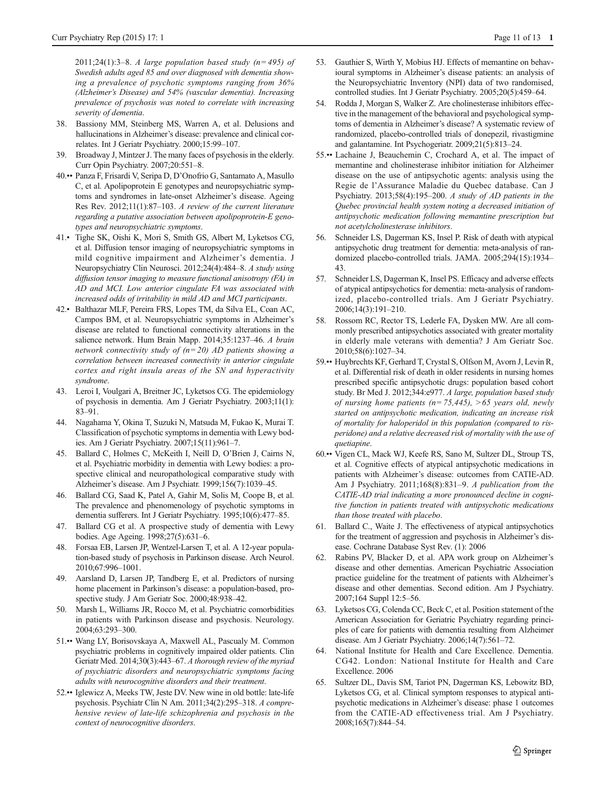<span id="page-10-0"></span>2011;24(1):3–8. A large population based study ( $n=495$ ) of Swedish adults aged 85 and over diagnosed with dementia showing a prevalence of psychotic symptoms ranging from 36% (Alzheimer's Disease) and 54% (vascular dementia). Increasing prevalence of psychosis was noted to correlate with increasing severity of dementia.

- 38. Bassiony MM, Steinberg MS, Warren A, et al. Delusions and hallucinations in Alzheimer's disease: prevalence and clinical correlates. Int J Geriatr Psychiatry. 2000;15:99–107.
- 39. Broadway J, Mintzer J. The many faces of psychosis in the elderly. Curr Opin Psychiatry. 2007;20:551–8.
- 40.•• Panza F, Frisardi V, Seripa D, D'Onofrio G, Santamato A, Masullo C, et al. Apolipoprotein E genotypes and neuropsychiatric symptoms and syndromes in late-onset Alzheimer's disease. Ageing Res Rev. 2012;11(1):87–103. A review of the current literature regarding a putative association between apolipoprotein-E genotypes and neuropsychiatric symptoms.
- 41.• Tighe SK, Oishi K, Mori S, Smith GS, Albert M, Lyketsos CG, et al. Diffusion tensor imaging of neuropsychiatric symptoms in mild cognitive impairment and Alzheimer's dementia. J Neuropsychiatry Clin Neurosci. 2012;24(4):484–8. A study using diffusion tensor imaging to measure functional anisotropy (FA) in AD and MCI. Low anterior cingulate FA was associated with increased odds of irritability in mild AD and MCI participants.
- 42.• Balthazar MLF, Pereira FRS, Lopes TM, da Silva EL, Coan AC, Campos BM, et al. Neuropsychiatric symptoms in Alzheimer's disease are related to functional connectivity alterations in the salience network. Hum Brain Mapp. 2014;35:1237–46. A brain network connectivity study of  $(n=20)$  AD patients showing a correlation between increased connectivity in anterior cingulate cortex and right insula areas of the SN and hyperactivity syndrome.
- 43. Leroi I, Voulgari A, Breitner JC, Lyketsos CG. The epidemiology of psychosis in dementia. Am J Geriatr Psychiatry. 2003;11(1): 83–91.
- 44. Nagahama Y, Okina T, Suzuki N, Matsuda M, Fukao K, Murai T. Classification of psychotic symptoms in dementia with Lewy bodies. Am J Geriatr Psychiatry. 2007;15(11):961–7.
- 45. Ballard C, Holmes C, McKeith I, Neill D, O'Brien J, Cairns N, et al. Psychiatric morbidity in dementia with Lewy bodies: a prospective clinical and neuropathological comparative study with Alzheimer's disease. Am J Psychiatr. 1999;156(7):1039–45.
- 46. Ballard CG, Saad K, Patel A, Gahir M, Solis M, Coope B, et al. The prevalence and phenomenology of psychotic symptoms in dementia sufferers. Int J Geriatr Psychiatry. 1995;10(6):477–85.
- 47. Ballard CG et al. A prospective study of dementia with Lewy bodies. Age Ageing. 1998;27(5):631–6.
- 48. Forsaa EB, Larsen JP, Wentzel-Larsen T, et al. A 12-year population-based study of psychosis in Parkinson disease. Arch Neurol. 2010;67:996–1001.
- 49. Aarsland D, Larsen JP, Tandberg E, et al. Predictors of nursing home placement in Parkinson's disease: a population-based, prospective study. J Am Geriatr Soc. 2000;48:938–42.
- 50. Marsh L, Williams JR, Rocco M, et al. Psychiatric comorbidities in patients with Parkinson disease and psychosis. Neurology. 2004;63:293–300.
- 51.•• Wang LY, Borisovskaya A, Maxwell AL, Pascualy M. Common psychiatric problems in cognitively impaired older patients. Clin Geriatr Med. 2014;30(3):443–67. A thorough review of the myriad of psychiatric disorders and neuropsychiatric symptoms facing adults with neurocognitive disorders and their treatment.
- 52.•• Iglewicz A, Meeks TW, Jeste DV. New wine in old bottle: late-life psychosis. Psychiatr Clin N Am. 2011;34(2):295–318. A comprehensive review of late-life schizophrenia and psychosis in the context of neurocognitive disorders.
- 53. Gauthier S, Wirth Y, Mobius HJ. Effects of memantine on behavioural symptoms in Alzheimer's disease patients: an analysis of the Neuropsychiatric Inventory (NPI) data of two randomised, controlled studies. Int J Geriatr Psychiatry. 2005;20(5):459–64.
- 54. Rodda J, Morgan S, Walker Z. Are cholinesterase inhibitors effective in the management of the behavioral and psychological symptoms of dementia in Alzheimer's disease? A systematic review of randomized, placebo-controlled trials of donepezil, rivastigmine and galantamine. Int Psychogeriatr. 2009;21(5):813–24.
- 55.•• Lachaine J, Beauchemin C, Crochard A, et al. The impact of memantine and cholinesterase inhibitor initiation for Alzheimer disease on the use of antipsychotic agents: analysis using the Regie de l'Assurance Maladie du Quebec database. Can J Psychiatry. 2013;58(4):195–200. A study of AD patients in the Quebec provincial health system noting a decreased initiation of antipsychotic medication following memantine prescription but not acetylcholinesterase inhibitors.
- 56. Schneider LS, Dagerman KS, Insel P. Risk of death with atypical antipsychotic drug treatment for dementia: meta-analysis of randomized placebo-controlled trials. JAMA. 2005;294(15):1934– 43.
- 57. Schneider LS, Dagerman K, Insel PS. Efficacy and adverse effects of atypical antipsychotics for dementia: meta-analysis of randomized, placebo-controlled trials. Am J Geriatr Psychiatry. 2006;14(3):191–210.
- 58. Rossom RC, Rector TS, Lederle FA, Dysken MW. Are all commonly prescribed antipsychotics associated with greater mortality in elderly male veterans with dementia? J Am Geriatr Soc. 2010;58(6):1027–34.
- 59.•• Huybrechts KF, Gerhard T, Crystal S, Olfson M, Avorn J, Levin R, et al. Differential risk of death in older residents in nursing homes prescribed specific antipsychotic drugs: population based cohort study. Br Med J. 2012;344:e977. A large, population based study of nursing home patients ( $n=75,445$ ),  $>65$  years old, newly started on antipsychotic medication, indicating an increase risk of mortality for haloperidol in this population (compared to risperidone) and a relative decreased risk of mortality with the use of quetiapine.
- 60.•• Vigen CL, Mack WJ, Keefe RS, Sano M, Sultzer DL, Stroup TS, et al. Cognitive effects of atypical antipsychotic medications in patients with Alzheimer's disease: outcomes from CATIE-AD. Am J Psychiatry. 2011;168(8):831–9. A publication from the CATIE-AD trial indicating a more pronounced decline in cognitive function in patients treated with antipsychotic medications than those treated with placebo.
- 61. Ballard C., Waite J. The effectiveness of atypical antipsychotics for the treatment of aggression and psychosis in Alzheimer's disease. Cochrane Database Syst Rev. (1): 2006
- 62. Rabins PV, Blacker D, et al. APA work group on Alzheimer's disease and other dementias. American Psychiatric Association practice guideline for the treatment of patients with Alzheimer's disease and other dementias. Second edition. Am J Psychiatry. 2007;164 Suppl 12:5–56.
- 63. Lyketsos CG, Colenda CC, Beck C, et al. Position statement of the American Association for Geriatric Psychiatry regarding principles of care for patients with dementia resulting from Alzheimer disease. Am J Geriatr Psychiatry. 2006;14(7):561–72.
- 64. National Institute for Health and Care Excellence. Dementia. CG42. London: National Institute for Health and Care Excellence. 2006
- 65. Sultzer DL, Davis SM, Tariot PN, Dagerman KS, Lebowitz BD, Lyketsos CG, et al. Clinical symptom responses to atypical antipsychotic medications in Alzheimer's disease: phase 1 outcomes from the CATIE-AD effectiveness trial. Am J Psychiatry. 2008;165(7):844–54.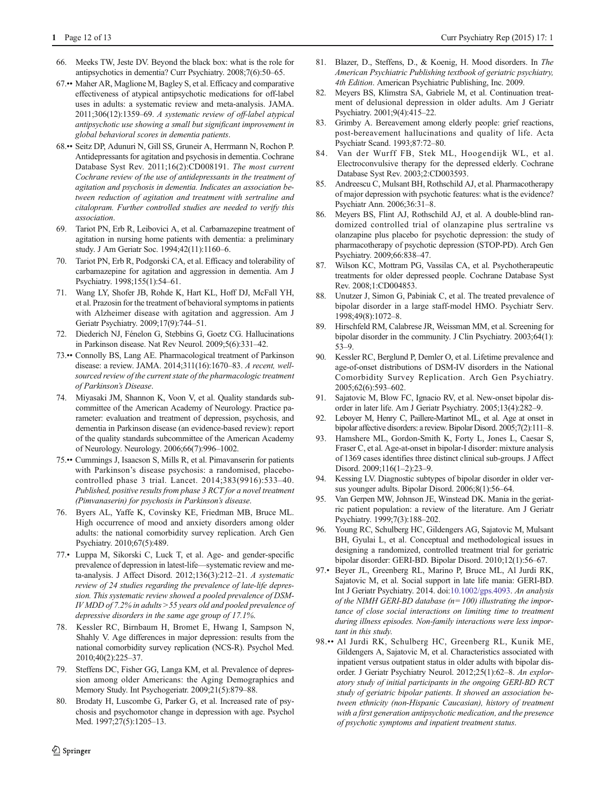- <span id="page-11-0"></span>66. Meeks TW, Jeste DV. Beyond the black box: what is the role for antipsychotics in dementia? Curr Psychiatry. 2008;7(6):50–65.
- 67.•• Maher AR, Maglione M, Bagley S, et al. Efficacy and comparative effectiveness of atypical antipsychotic medications for off-label uses in adults: a systematic review and meta-analysis. JAMA. 2011;306(12):1359–69. A systematic review of off-label atypical antipsychotic use showing a small but significant improvement in global behavioral scores in dementia patients.
- 68.•• Seitz DP, Adunuri N, Gill SS, Gruneir A, Herrmann N, Rochon P. Antidepressants for agitation and psychosis in dementia. Cochrane Database Syst Rev. 2011;16(2):CD008191. The most current Cochrane review of the use of antidepressants in the treatment of agitation and psychosis in dementia. Indicates an association between reduction of agitation and treatment with sertraline and citalopram. Further controlled studies are needed to verify this association.
- 69. Tariot PN, Erb R, Leibovici A, et al. Carbamazepine treatment of agitation in nursing home patients with dementia: a preliminary study. J Am Geriatr Soc. 1994;42(11):1160–6.
- 70. Tariot PN, Erb R, Podgorski CA, et al. Efficacy and tolerability of carbamazepine for agitation and aggression in dementia. Am J Psychiatry. 1998;155(1):54–61.
- 71. Wang LY, Shofer JB, Rohde K, Hart KL, Hoff DJ, McFall YH, et al. Prazosin for the treatment of behavioral symptoms in patients with Alzheimer disease with agitation and aggression. Am J Geriatr Psychiatry. 2009;17(9):744–51.
- 72. Diederich NJ, Fénelon G, Stebbins G, Goetz CG. Hallucinations in Parkinson disease. Nat Rev Neurol. 2009;5(6):331–42.
- 73.•• Connolly BS, Lang AE. Pharmacological treatment of Parkinson disease: a review. JAMA. 2014;311(16):1670–83. A recent, wellsourced review of the current state of the pharmacologic treatment of Parkinson's Disease.
- 74. Miyasaki JM, Shannon K, Voon V, et al. Quality standards subcommittee of the American Academy of Neurology. Practice parameter: evaluation and treatment of depression, psychosis, and dementia in Parkinson disease (an evidence-based review): report of the quality standards subcommittee of the American Academy of Neurology. Neurology. 2006;66(7):996–1002.
- 75.•• Cummings J, Isaacson S, Mills R, et al. Pimavanserin for patients with Parkinson's disease psychosis: a randomised, placebocontrolled phase 3 trial. Lancet. 2014;383(9916):533–40. Published, positive results from phase 3 RCT for a novel treatment (Pimvanaserin) for psychosis in Parkinson's disease.
- 76. Byers AL, Yaffe K, Covinsky KE, Friedman MB, Bruce ML. High occurrence of mood and anxiety disorders among older adults: the national comorbidity survey replication. Arch Gen Psychiatry. 2010;67(5):489.
- 77.• Luppa M, Sikorski C, Luck T, et al. Age- and gender-specific prevalence of depression in latest-life—systematic review and meta-analysis. J Affect Disord. 2012;136(3):212–21. A systematic review of 24 studies regarding the prevalence of late-life depression. This systematic review showed a pooled prevalence of DSM-IV MDD of 7.2% in adults >55 years old and pooled prevalence of depressive disorders in the same age group of 17.1%.
- 78. Kessler RC, Birnbaum H, Bromet E, Hwang I, Sampson N, Shahly V. Age differences in major depression: results from the national comorbidity survey replication (NCS-R). Psychol Med. 2010;40(2):225–37.
- 79. Steffens DC, Fisher GG, Langa KM, et al. Prevalence of depression among older Americans: the Aging Demographics and Memory Study. Int Psychogeriatr. 2009;21(5):879–88.
- 80. Brodaty H, Luscombe G, Parker G, et al. Increased rate of psychosis and psychomotor change in depression with age. Psychol Med. 1997;27(5):1205-13.
- 81. Blazer, D., Steffens, D., & Koenig, H. Mood disorders. In The American Psychiatric Publishing textbook of geriatric psychiatry, 4th Edition. American Psychiatric Publishing, Inc. 2009.
- 82. Meyers BS, Klimstra SA, Gabriele M, et al. Continuation treatment of delusional depression in older adults. Am J Geriatr Psychiatry. 2001;9(4):415–22.
- 83. Grimby A. Bereavement among elderly people: grief reactions, post-bereavement hallucinations and quality of life. Acta Psychiatr Scand. 1993;87:72–80.
- 84. Van der Wurff FB, Stek ML, Hoogendijk WL, et al. Electroconvulsive therapy for the depressed elderly. Cochrane Database Syst Rev. 2003;2:CD003593.
- 85. Andreescu C, Mulsant BH, Rothschild AJ, et al. Pharmacotherapy of major depression with psychotic features: what is the evidence? Psychiatr Ann. 2006;36:31–8.
- 86. Meyers BS, Flint AJ, Rothschild AJ, et al. A double-blind randomized controlled trial of olanzapine plus sertraline vs olanzapine plus placebo for psychotic depression: the study of pharmacotherapy of psychotic depression (STOP-PD). Arch Gen Psychiatry. 2009;66:838–47.
- 87. Wilson KC, Mottram PG, Vassilas CA, et al. Psychotherapeutic treatments for older depressed people. Cochrane Database Syst Rev. 2008;1:CD004853.
- 88. Unutzer J, Simon G, Pabiniak C, et al. The treated prevalence of bipolar disorder in a large staff-model HMO. Psychiatr Serv. 1998;49(8):1072–8.
- Hirschfeld RM, Calabrese JR, Weissman MM, et al. Screening for bipolar disorder in the community. J Clin Psychiatry. 2003;64(1): 53–9.
- 90. Kessler RC, Berglund P, Demler O, et al. Lifetime prevalence and age-of-onset distributions of DSM-IV disorders in the National Comorbidity Survey Replication. Arch Gen Psychiatry. 2005;62(6):593–602.
- 91. Sajatovic M, Blow FC, Ignacio RV, et al. New-onset bipolar disorder in later life. Am J Geriatr Psychiatry. 2005;13(4):282–9.
- 92. Leboyer M, Henry C, Paillere-Martinot ML, et al. Age at onset in bipolar affective disorders: a review. Bipolar Disord. 2005;7(2):111–8.
- 93. Hamshere ML, Gordon-Smith K, Forty L, Jones L, Caesar S, Fraser C, et al. Age-at-onset in bipolar-I disorder: mixture analysis of 1369 cases identifies three distinct clinical sub-groups. J Affect Disord. 2009;116(1–2):23–9.
- 94. Kessing LV. Diagnostic subtypes of bipolar disorder in older versus younger adults. Bipolar Disord. 2006;8(1):56–64.
- 95. Van Gerpen MW, Johnson JE, Winstead DK. Mania in the geriatric patient population: a review of the literature. Am J Geriatr Psychiatry. 1999;7(3):188–202.
- 96. Young RC, Schulberg HC, Gildengers AG, Sajatovic M, Mulsant BH, Gyulai L, et al. Conceptual and methodological issues in designing a randomized, controlled treatment trial for geriatric bipolar disorder: GERI-BD. Bipolar Disord. 2010;12(1):56–67.
- 97.• Beyer JL, Greenberg RL, Marino P, Bruce ML, Al Jurdi RK, Sajatovic M, et al. Social support in late life mania: GERI-BD. Int J Geriatr Psychiatry. 2014. doi:[10.1002/gps.4093.](http://dx.doi.org/10.1002/gps.4093) An analysis of the NIMH GERI-BD database ( $n=100$ ) illustrating the importance of close social interactions on limiting time to treatment during illness episodes. Non-family interactions were less important in this study.
- 98.•• Al Jurdi RK, Schulberg HC, Greenberg RL, Kunik ME, Gildengers A, Sajatovic M, et al. Characteristics associated with inpatient versus outpatient status in older adults with bipolar disorder. J Geriatr Psychiatry Neurol. 2012;25(1):62–8. An exploratory study of initial participants in the ongoing GERI-BD RCT study of geriatric bipolar patients. It showed an association between ethnicity (non-Hispanic Caucasian), history of treatment with a first generation antipsychotic medication, and the presence of psychotic symptoms and inpatient treatment status.